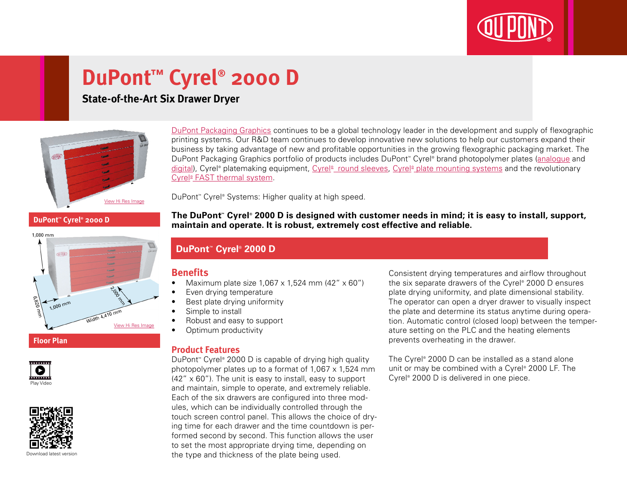

# **DuPont™ Cyrel® 2000 D**

## **State-of-the-Art Six Drawer Dryer**



[DuPont Packaging Graphics](http://www2.dupont.com/Packaging_Graphics/en_GB/index.html) continues to be a global technology leader in the development and supply of flexographic printing systems. Our R&D team continues to develop innovative new solutions to help our customers expand their business by taking advantage of new and profitable opportunities in the growing flexographic packaging market. The DuPont Packaging Graphics portfolio of products includes DuPont™ Cyrel® brand photopolymer plates ([analogue](http://www2.dupont.com/Packaging_Graphics/en_GB/products/solvent_platemaking/index.html) and [digital\)](http://www2.dupont.com/Packaging_Graphics/en_GB/products/digital_wkflow/digital_workflow.html), Cyrel® platemaking equipment, Cyrel® [round sleeves](http://www2.dupont.com/Packaging_Graphics/en_GB/products/cyrel_round/index_cyrelround2.html), Cyrel® [plate mounting systems](http://www2.dupont.com/Packaging_Graphics/en_GB/products/mounting_systems/index.html) and the revolutionary Cyrel<sup>®</sup> [FAST thermal system.](http://www2.dupont.com/Packaging_Graphics/en_GB/products/cyrel_fast/cyrelfast_index.html)

DuPont™ Cyrel® Systems: Higher quality at high speed.

**DuPont™ Cyrel® 2000 D**









Download latest versio

**The DuPont™ Cyrel® 2000 D is designed with customer needs in mind; it is easy to install, support, maintain and operate. It is robust, extremely cost effective and reliable.**

### **DuPont™ Cyrel® 2000 D**

#### **Benefits**

- Maximum plate size  $1,067 \times 1,524$  mm (42"  $\times$  60")
- • Even drying temperature
- Best plate drying uniformity
- Simple to install
- Robust and easy to support
- Optimum productivity

#### **Product Features**

DuPont™ Cyrel® 2000 D is capable of drying high quality photopolymer plates up to a format of  $1.067 \times 1.524$  mm  $(42'' \times 60'')$ . The unit is easy to install, easy to support and maintain, simple to operate, and extremely reliable. Each of the six drawers are configured into three modules, which can be individually controlled through the touch screen control panel. This allows the choice of drying time for each drawer and the time countdown is performed second by second. This function allows the user to set the most appropriate drying time, depending on the type and thickness of the plate being used.

Consistent drying temperatures and airflow throughout the six separate drawers of the Cyrel® 2000 D ensures plate drying uniformity, and plate dimensional stability. The operator can open a dryer drawer to visually inspect the plate and determine its status anytime during operation. Automatic control (closed loop) between the temperature setting on the PLC and the heating elements prevents overheating in the drawer.

The Cyrel® 2000 D can be installed as a stand alone unit or may be combined with a Cyrel® 2000 LF. The Cyrel® 2000 D is delivered in one piece.